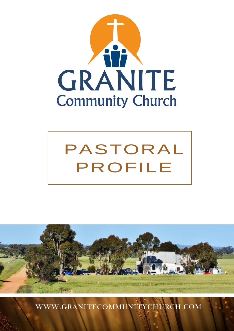





[WWW.GRANITECOMMUNITYCHURCH.COM](http://www.granitecommunitychurch.com/)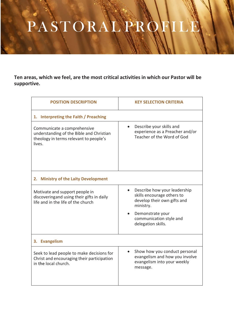## PASTORAL PROFIL PASTORAL PROFILE

**Ten areas, which we feel, are the most critical activities in which our Pastor will be supportive.**

| <b>POSITION DESCRIPTION</b>                                                                                                 | <b>KEY SELECTION CRITERIA</b>                                                                                                                                      |
|-----------------------------------------------------------------------------------------------------------------------------|--------------------------------------------------------------------------------------------------------------------------------------------------------------------|
| 1. Interpreting the Faith / Preaching                                                                                       |                                                                                                                                                                    |
| Communicate a comprehensive<br>understanding of the Bible and Christian<br>theology in terms relevant to people's<br>lives. | Describe your skills and<br>experience as a Preacher and/or<br>Teacher of the Word of God                                                                          |
| 2. Ministry of the Laity Development                                                                                        |                                                                                                                                                                    |
| Motivate and support people in<br>discoveringand using their gifts in daily<br>life and in the life of the church           | Describe how your leadership<br>$\bullet$<br>skills encourage others to<br>develop their own gifts and<br>ministry.<br>Demonstrate your<br>communication style and |
|                                                                                                                             | delegation skills.                                                                                                                                                 |
| 3. Evangelism                                                                                                               |                                                                                                                                                                    |
| Seek to lead people to make decisions for<br>Christ and encouraging their participation<br>in the local church.             | Show how you conduct personal<br>evangelism and how you involve<br>evangelism into your weekly<br>message.                                                         |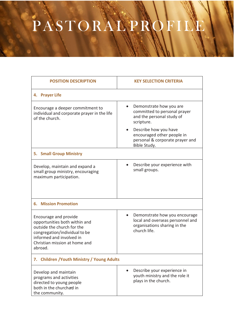## PASTORAL PROFILE

| <b>POSITION DESCRIPTION</b>                                                                                                                                                                   | <b>KEY SELECTION CRITERIA</b>                                                                                                  |  |
|-----------------------------------------------------------------------------------------------------------------------------------------------------------------------------------------------|--------------------------------------------------------------------------------------------------------------------------------|--|
| 4. Prayer Life                                                                                                                                                                                |                                                                                                                                |  |
| Encourage a deeper commitment to<br>individual and corporate prayer in the life<br>of the church.                                                                                             | Demonstrate how you are<br>committed to personal prayer<br>and the personal study of<br>scripture.                             |  |
|                                                                                                                                                                                               | Describe how you have<br>encouraged other people in<br>personal & corporate prayer and<br>Bible Study.                         |  |
| 5. Small Group Ministry                                                                                                                                                                       |                                                                                                                                |  |
| Develop, maintain and expand a<br>small group ministry, encouraging<br>maximum participation.                                                                                                 | Describe your experience with<br>small groups.                                                                                 |  |
| <b>6. Mission Promotion</b>                                                                                                                                                                   |                                                                                                                                |  |
| Encourage and provide<br>opportunities both within and<br>outside the church for the<br>congregation/individual to be<br>informed and involved in<br>Christian mission at home and<br>abroad. | Demonstrate how you encourage<br>$\bullet$<br>local and overseas personnel and<br>organisations sharing in the<br>church life. |  |
| 7. Children / Youth Ministry / Young Adults                                                                                                                                                   |                                                                                                                                |  |
| Develop and maintain<br>programs and activities<br>directed to young people<br>both in the churchard in<br>the community.                                                                     | Describe your experience in<br>youth ministry and the role it<br>plays in the church.                                          |  |